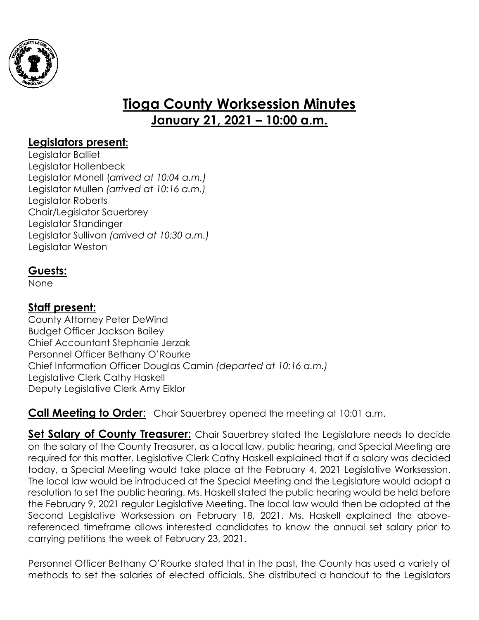

# **Tioga County Worksession Minutes January 21, 2021 – 10:00 a.m.**

## **Legislators present:**

Legislator Balliet Legislator Hollenbeck Legislator Monell (*arrived at 10:04 a.m.)* Legislator Mullen *(arrived at 10:16 a.m.)* Legislator Roberts Chair/Legislator Sauerbrey Legislator Standinger Legislator Sullivan *(arrived at 10:30 a.m.)* Legislator Weston

## **Guests:**

None

# **Staff present:**

County Attorney Peter DeWind Budget Officer Jackson Bailey Chief Accountant Stephanie Jerzak Personnel Officer Bethany O'Rourke Chief Information Officer Douglas Camin *(departed at 10:16 a.m.)* Legislative Clerk Cathy Haskell Deputy Legislative Clerk Amy Eiklor

**Call Meeting to Order:** Chair Sauerbrey opened the meeting at 10:01 a.m.

**Set Salary of County Treasurer:** Chair Sauerbrey stated the Legislature needs to decide on the salary of the County Treasurer, as a local law, public hearing, and Special Meeting are required for this matter. Legislative Clerk Cathy Haskell explained that if a salary was decided today, a Special Meeting would take place at the February 4, 2021 Legislative Worksession. The local law would be introduced at the Special Meeting and the Legislature would adopt a resolution to set the public hearing. Ms. Haskell stated the public hearing would be held before the February 9, 2021 regular Legislative Meeting. The local law would then be adopted at the Second Legislative Worksession on February 18, 2021. Ms. Haskell explained the abovereferenced timeframe allows interested candidates to know the annual set salary prior to carrying petitions the week of February 23, 2021.

Personnel Officer Bethany O'Rourke stated that in the past, the County has used a variety of methods to set the salaries of elected officials. She distributed a handout to the Legislators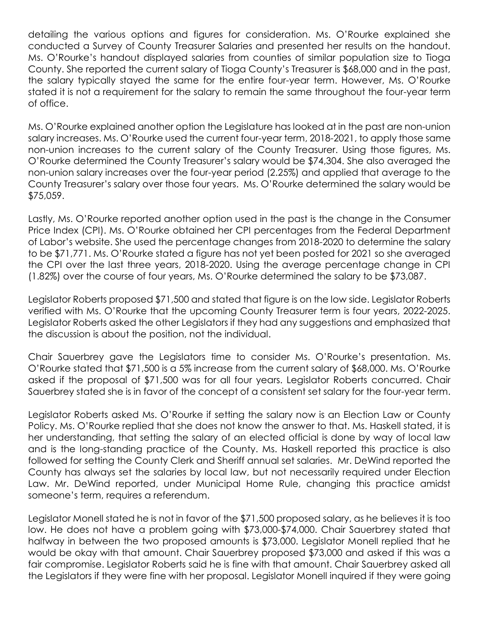detailing the various options and figures for consideration. Ms. O'Rourke explained she conducted a Survey of County Treasurer Salaries and presented her results on the handout. Ms. O'Rourke's handout displayed salaries from counties of similar population size to Tioga County. She reported the current salary of Tioga County's Treasurer is \$68,000 and in the past, the salary typically stayed the same for the entire four-year term. However, Ms. O'Rourke stated it is not a requirement for the salary to remain the same throughout the four-year term of office.

Ms. O'Rourke explained another option the Legislature has looked at in the past are non-union salary increases. Ms. O'Rourke used the current four-year term, 2018-2021, to apply those same non-union increases to the current salary of the County Treasurer. Using those figures, Ms. O'Rourke determined the County Treasurer's salary would be \$74,304. She also averaged the non-union salary increases over the four-year period (2.25%) and applied that average to the County Treasurer's salary over those four years. Ms. O'Rourke determined the salary would be \$75,059.

Lastly, Ms. O'Rourke reported another option used in the past is the change in the Consumer Price Index (CPI). Ms. O'Rourke obtained her CPI percentages from the Federal Department of Labor's website. She used the percentage changes from 2018-2020 to determine the salary to be \$71,771. Ms. O'Rourke stated a figure has not yet been posted for 2021 so she averaged the CPI over the last three years, 2018-2020. Using the average percentage change in CPI (1.82%) over the course of four years, Ms. O'Rourke determined the salary to be \$73,087.

Legislator Roberts proposed \$71,500 and stated that figure is on the low side. Legislator Roberts verified with Ms. O'Rourke that the upcoming County Treasurer term is four years, 2022-2025. Legislator Roberts asked the other Legislators if they had any suggestions and emphasized that the discussion is about the position, not the individual.

Chair Sauerbrey gave the Legislators time to consider Ms. O'Rourke's presentation. Ms. O'Rourke stated that \$71,500 is a 5% increase from the current salary of \$68,000. Ms. O'Rourke asked if the proposal of \$71,500 was for all four years. Legislator Roberts concurred. Chair Sauerbrey stated she is in favor of the concept of a consistent set salary for the four-year term.

Legislator Roberts asked Ms. O'Rourke if setting the salary now is an Election Law or County Policy. Ms. O'Rourke replied that she does not know the answer to that. Ms. Haskell stated, it is her understanding, that setting the salary of an elected official is done by way of local law and is the long-standing practice of the County. Ms. Haskell reported this practice is also followed for setting the County Clerk and Sheriff annual set salaries. Mr. DeWind reported the County has always set the salaries by local law, but not necessarily required under Election Law. Mr. DeWind reported, under Municipal Home Rule, changing this practice amidst someone's term, requires a referendum.

Legislator Monell stated he is not in favor of the \$71,500 proposed salary, as he believes it is too low. He does not have a problem going with \$73,000-\$74,000. Chair Sauerbrey stated that halfway in between the two proposed amounts is \$73,000. Legislator Monell replied that he would be okay with that amount. Chair Sauerbrey proposed \$73,000 and asked if this was a fair compromise. Legislator Roberts said he is fine with that amount. Chair Sauerbrey asked all the Legislators if they were fine with her proposal. Legislator Monell inquired if they were going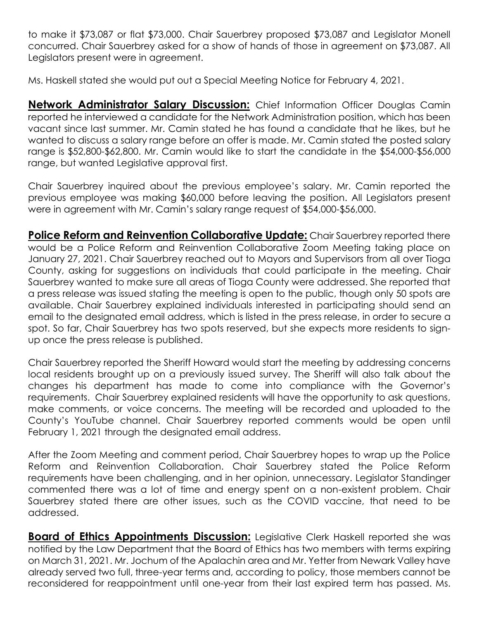to make it \$73,087 or flat \$73,000. Chair Sauerbrey proposed \$73,087 and Legislator Monell concurred. Chair Sauerbrey asked for a show of hands of those in agreement on \$73,087. All Legislators present were in agreement.

Ms. Haskell stated she would put out a Special Meeting Notice for February 4, 2021.

**Network Administrator Salary Discussion:** Chief Information Officer Douglas Camin reported he interviewed a candidate for the Network Administration position, which has been vacant since last summer. Mr. Camin stated he has found a candidate that he likes, but he wanted to discuss a salary range before an offer is made. Mr. Camin stated the posted salary range is \$52,800-\$62,800. Mr. Camin would like to start the candidate in the \$54,000-\$56,000 range, but wanted Legislative approval first.

Chair Sauerbrey inquired about the previous employee's salary. Mr. Camin reported the previous employee was making \$60,000 before leaving the position. All Legislators present were in agreement with Mr. Camin's salary range request of \$54,000-\$56,000.

**Police Reform and Reinvention Collaborative Update:** Chair Sauerbrey reported there would be a Police Reform and Reinvention Collaborative Zoom Meeting taking place on January 27, 2021. Chair Sauerbrey reached out to Mayors and Supervisors from all over Tioga County, asking for suggestions on individuals that could participate in the meeting. Chair Sauerbrey wanted to make sure all areas of Tioga County were addressed. She reported that a press release was issued stating the meeting is open to the public, though only 50 spots are available. Chair Sauerbrey explained individuals interested in participating should send an email to the designated email address, which is listed in the press release, in order to secure a spot. So far, Chair Sauerbrey has two spots reserved, but she expects more residents to signup once the press release is published.

Chair Sauerbrey reported the Sheriff Howard would start the meeting by addressing concerns local residents brought up on a previously issued survey. The Sheriff will also talk about the changes his department has made to come into compliance with the Governor's requirements. Chair Sauerbrey explained residents will have the opportunity to ask questions, make comments, or voice concerns. The meeting will be recorded and uploaded to the County's YouTube channel. Chair Sauerbrey reported comments would be open until February 1, 2021 through the designated email address.

After the Zoom Meeting and comment period, Chair Sauerbrey hopes to wrap up the Police Reform and Reinvention Collaboration. Chair Sauerbrey stated the Police Reform requirements have been challenging, and in her opinion, unnecessary. Legislator Standinger commented there was a lot of time and energy spent on a non-existent problem. Chair Sauerbrey stated there are other issues, such as the COVID vaccine, that need to be addressed.

**Board of Ethics Appointments Discussion:** Legislative Clerk Haskell reported she was notified by the Law Department that the Board of Ethics has two members with terms expiring on March 31, 2021. Mr. Jochum of the Apalachin area and Mr. Yetter from Newark Valley have already served two full, three-year terms and, according to policy, those members cannot be reconsidered for reappointment until one-year from their last expired term has passed. Ms.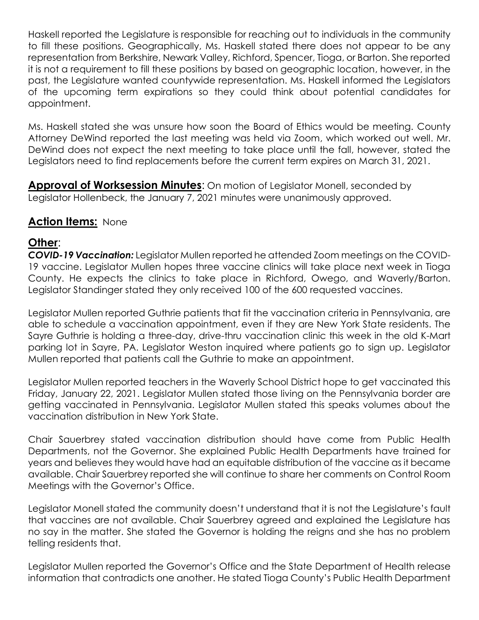Haskell reported the Legislature is responsible for reaching out to individuals in the community to fill these positions. Geographically, Ms. Haskell stated there does not appear to be any representation from Berkshire, Newark Valley, Richford, Spencer, Tioga, or Barton. She reported it is not a requirement to fill these positions by based on geographic location, however, in the past, the Legislature wanted countywide representation. Ms. Haskell informed the Legislators of the upcoming term expirations so they could think about potential candidates for appointment.

Ms. Haskell stated she was unsure how soon the Board of Ethics would be meeting. County Attorney DeWind reported the last meeting was held via Zoom, which worked out well. Mr. DeWind does not expect the next meeting to take place until the fall, however, stated the Legislators need to find replacements before the current term expires on March 31, 2021.

**Approval of Worksession Minutes**: On motion of Legislator Monell, seconded by Legislator Hollenbeck, the January 7, 2021 minutes were unanimously approved.

### **Action Items:** None

### **Other**:

*COVID-19 Vaccination:* Legislator Mullen reported he attended Zoom meetings on the COVID-19 vaccine. Legislator Mullen hopes three vaccine clinics will take place next week in Tioga County. He expects the clinics to take place in Richford, Owego, and Waverly/Barton. Legislator Standinger stated they only received 100 of the 600 requested vaccines.

Legislator Mullen reported Guthrie patients that fit the vaccination criteria in Pennsylvania, are able to schedule a vaccination appointment, even if they are New York State residents. The Sayre Guthrie is holding a three-day, drive-thru vaccination clinic this week in the old K-Mart parking lot in Sayre, PA. Legislator Weston inquired where patients go to sign up. Legislator Mullen reported that patients call the Guthrie to make an appointment.

Legislator Mullen reported teachers in the Waverly School District hope to get vaccinated this Friday, January 22, 2021. Legislator Mullen stated those living on the Pennsylvania border are getting vaccinated in Pennsylvania. Legislator Mullen stated this speaks volumes about the vaccination distribution in New York State.

Chair Sauerbrey stated vaccination distribution should have come from Public Health Departments, not the Governor. She explained Public Health Departments have trained for years and believes they would have had an equitable distribution of the vaccine as it became available. Chair Sauerbrey reported she will continue to share her comments on Control Room Meetings with the Governor's Office.

Legislator Monell stated the community doesn't understand that it is not the Legislature's fault that vaccines are not available. Chair Sauerbrey agreed and explained the Legislature has no say in the matter. She stated the Governor is holding the reigns and she has no problem telling residents that.

Legislator Mullen reported the Governor's Office and the State Department of Health release information that contradicts one another. He stated Tioga County's Public Health Department